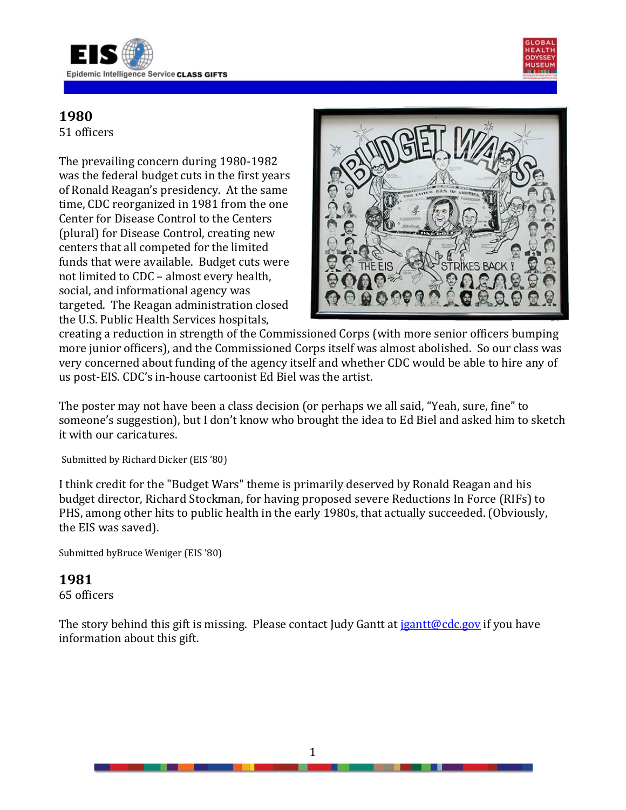



51 officers

The prevailing concern during 1980-1982 was the federal budget cuts in the first years of Ronald Reagan's presidency. At the same time, CDC reorganized in 1981 from the one Center for Disease Control to the Centers (plural) for Disease Control, creating new centers that all competed for the limited funds that were available. Budget cuts were not limited to CDC – almost every health, social, and informational agency was targeted. The Reagan administration closed the U.S. Public Health Services hospitals,



creating a reduction in strength of the Commissioned Corps (with more senior officers bumping more junior officers), and the Commissioned Corps itself was almost abolished. So our class was very concerned about funding of the agency itself and whether CDC would be able to hire any of us post-EIS. CDC's in-house cartoonist Ed Biel was the artist.

The poster may not have been a class decision (or perhaps we all said, "Yeah, sure, fine" to someone's suggestion), but I don't know who brought the idea to Ed Biel and asked him to sketch it with our caricatures.

Submitted by Richard Dicker (EIS '80)

I think credit for the "Budget Wars" theme is primarily deserved by Ronald Reagan and his budget director, Richard Stockman, for having proposed severe Reductions In Force (RIFs) to PHS, among other hits to public health in the early 1980s, that actually succeeded. (Obviously, the EIS was saved).

Submitted byBruce Weniger (EIS '80)

#### **1981**

65 officers

The story behind this gift is missing. Please contact Judy Gantt at jaintt@cdc.gov if you have information about this gift.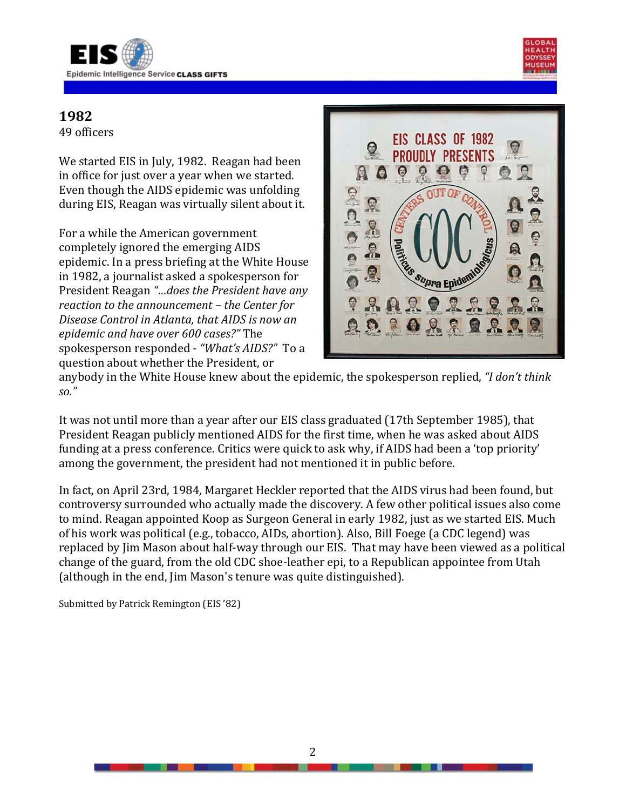



49 officers

We started EIS in July, 1982. Reagan had been in office for just over a year when we started. Even though the AIDS epidemic was unfolding during EIS, Reagan was virtually silent about it.

For a while the American government completely ignored the emerging AIDS epidemic. In a press briefing at the White House in 1982, a journalist asked a spokesperson for President Reagan *"…does the President have any reaction to the announcement – the Center for Disease Control in Atlanta, that AIDS is now an epidemic and have over 600 cases?"* The spokesperson responded - *"What's AIDS?"* To a question about whether the President, or



anybody in the White House knew about the epidemic, the spokesperson replied, *"I don't think so."*

It was not until more than a year after our EIS class graduated (17th September 1985), that President Reagan publicly mentioned AIDS for the first time, when he was asked about AIDS funding at a press conference. Critics were quick to ask why, if AIDS had been a 'top priority' among the government, the president had not mentioned it in public before.

In fact, on April 23rd, 1984, Margaret Heckler reported that the AIDS virus had been found, but controversy surrounded who actually made the discovery. A few other political issues also come to mind. Reagan appointed Koop as Surgeon General in early 1982, just as we started EIS. Much of his work was political (e.g., tobacco, AIDs, abortion). Also, Bill Foege (a CDC legend) was replaced by Jim Mason about half-way through our EIS. That may have been viewed as a political change of the guard, from the old CDC shoe-leather epi, to a Republican appointee from Utah (although in the end, Jim Mason's tenure was quite distinguished).

Submitted by Patrick Remington (EIS '82)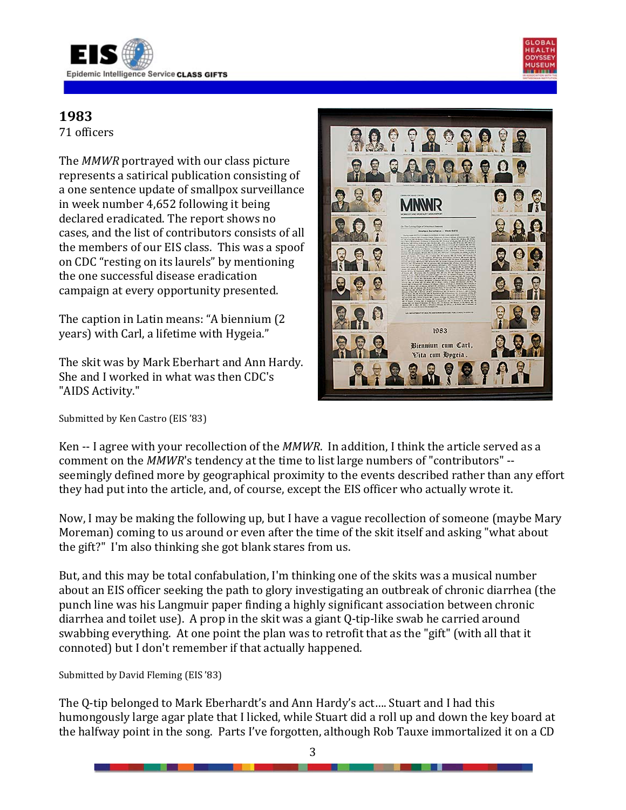

71 officers

The *MMWR* portrayed with our class picture represents a satirical publication consisting of a one sentence update of smallpox surveillance in week number 4,652 following it being declared eradicated. The report shows no cases, and the list of contributors consists of all the members of our EIS class. This was a spoof on CDC "resting on its laurels" by mentioning the one successful disease eradication campaign at every opportunity presented.

The caption in Latin means: "A biennium (2 years) with Carl, a lifetime with Hygeia."

The skit was by Mark Eberhart and Ann Hardy. She and I worked in what was then CDC's "AIDS Activity."

Submitted by Ken Castro (EIS '83)



Ken -- I agree with your recollection of the *MMWR*. In addition, I think the article served as a comment on the *MMWR*'s tendency at the time to list large numbers of "contributors" - seemingly defined more by geographical proximity to the events described rather than any effort they had put into the article, and, of course, except the EIS officer who actually wrote it.

Now, I may be making the following up, but I have a vague recollection of someone (maybe Mary Moreman) coming to us around or even after the time of the skit itself and asking "what about the gift?" I'm also thinking she got blank stares from us.

But, and this may be total confabulation, I'm thinking one of the skits was a musical number about an EIS officer seeking the path to glory investigating an outbreak of chronic diarrhea (the punch line was his Langmuir paper finding a highly significant association between chronic diarrhea and toilet use). A prop in the skit was a giant Q-tip-like swab he carried around swabbing everything. At one point the plan was to retrofit that as the "gift" (with all that it connoted) but I don't remember if that actually happened.

Submitted by David Fleming (EIS '83)

The Q-tip belonged to Mark Eberhardt's and Ann Hardy's act…. Stuart and I had this humongously large agar plate that I licked, while Stuart did a roll up and down the key board at the halfway point in the song. Parts I've forgotten, although Rob Tauxe immortalized it on a CD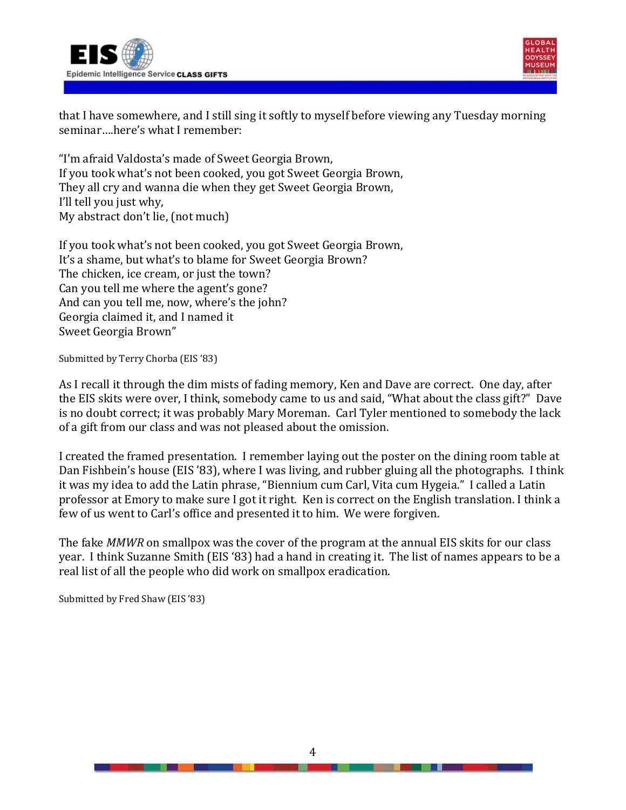



that I have somewhere, and I still sing it softly to myself before viewing any Tuesday morning seminar….here's what I remember:

"I'm afraid Valdosta's made of Sweet Georgia Brown, If you took what's not been cooked, you got Sweet Georgia Brown, They all cry and wanna die when they get Sweet Georgia Brown, I'll tell you just why, My abstract don't lie, (not much)

If you took what's not been cooked, you got Sweet Georgia Brown, It's a shame, but what's to blame for Sweet Georgia Brown? The chicken, ice cream, or just the town? Can you tell me where the agent's gone? And can you tell me, now, where's the john? Georgia claimed it, and I named it Sweet Georgia Brown"

Submitted by Terry Chorba (EIS '83)

As I recall it through the dim mists of fading memory, Ken and Dave are correct. One day, after the EIS skits were over, I think, somebody came to us and said, "What about the class gift?" Dave is no doubt correct; it was probably Mary Moreman. Carl Tyler mentioned to somebody the lack of a gift from our class and was not pleased about the omission.

I created the framed presentation. I remember laying out the poster on the dining room table at Dan Fishbein's house (EIS '83), where I was living, and rubber gluing all the photographs. I think it was my idea to add the Latin phrase, "Biennium cum Carl, Vita cum Hygeia." I called a Latin professor at Emory to make sure I got it right. Ken is correct on the English translation. I think a few of us went to Carl's office and presented it to him. We were forgiven.

The fake *MMWR* on smallpox was the cover of the program at the annual EIS skits for our class year. I think Suzanne Smith (EIS '83) had a hand in creating it. The list of names appears to be a real list of all the people who did work on smallpox eradication.

Submitted by Fred Shaw (EIS '83)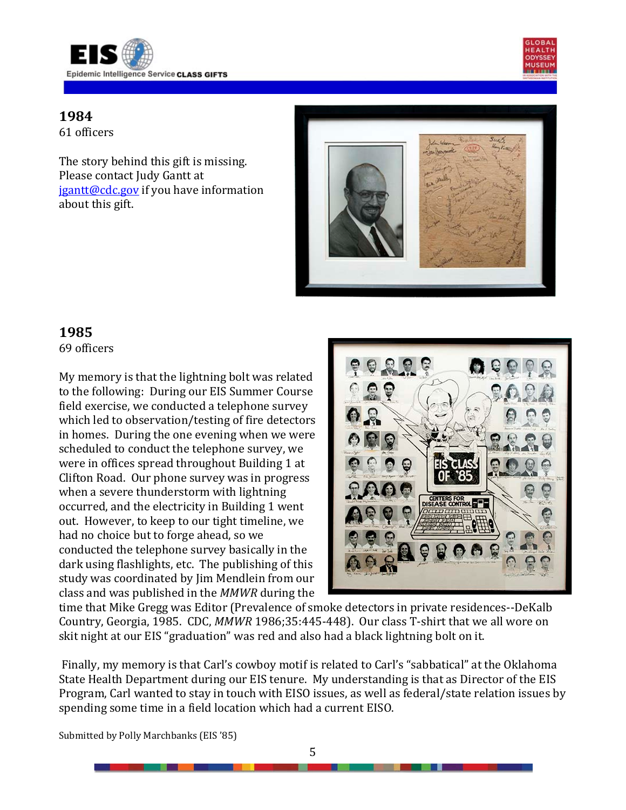



61 officers

The story behind this gift is missing. Please contact Judy Gantt at [jgantt@cdc.gov](mailto:jgantt@cdc.gov) if you have information about this gift.



## **1985**

69 officers

My memory is that the lightning bolt was related to the following: During our EIS Summer Course field exercise, we conducted a telephone survey which led to observation/testing of fire detectors in homes. During the one evening when we were scheduled to conduct the telephone survey, we were in offices spread throughout Building 1 at Clifton Road. Our phone survey was in progress when a severe thunderstorm with lightning occurred, and the electricity in Building 1 went out. However, to keep to our tight timeline, we had no choice but to forge ahead, so we conducted the telephone survey basically in the dark using flashlights, etc. The publishing of this study was coordinated by Jim Mendlein from our class and was published in the *MMWR* during the



time that Mike Gregg was Editor (Prevalence of smoke detectors in private residences--DeKalb Country, Georgia, 1985. CDC, *MMWR* 1986;35:445-448). Our class T-shirt that we all wore on skit night at our EIS "graduation" was red and also had a black lightning bolt on it.

Finally, my memory is that Carl's cowboy motif is related to Carl's "sabbatical" at the Oklahoma State Health Department during our EIS tenure. My understanding is that as Director of the EIS Program, Carl wanted to stay in touch with EISO issues, as well as federal/state relation issues by spending some time in a field location which had a current EISO.

Submitted by Polly Marchbanks (EIS '85)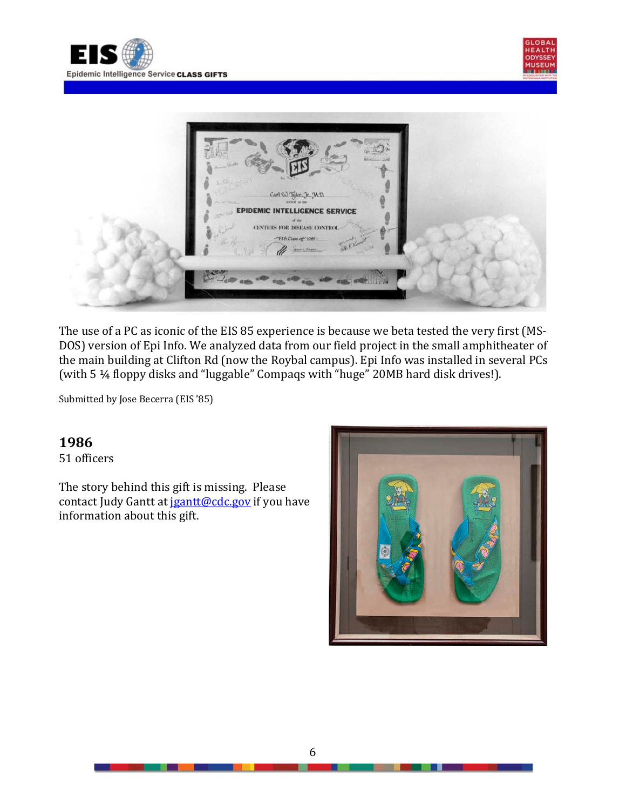





The use of a PC as iconic of the EIS 85 experience is because we beta tested the very first (MS-DOS) version of Epi Info. We analyzed data from our field project in the small amphitheater of the main building at Clifton Rd (now the Roybal campus). Epi Info was installed in several PCs (with 5 ¼ floppy disks and "luggable" Compaqs with "huge" 20MB hard disk drives!).

Submitted by Jose Becerra (EIS '85)

#### **1986**

51 officers

The story behind this gift is missing. Please contact Judy Gantt a[t jgantt@cdc.gov](mailto:jgantt@cdc.gov) if you have information about this gift.

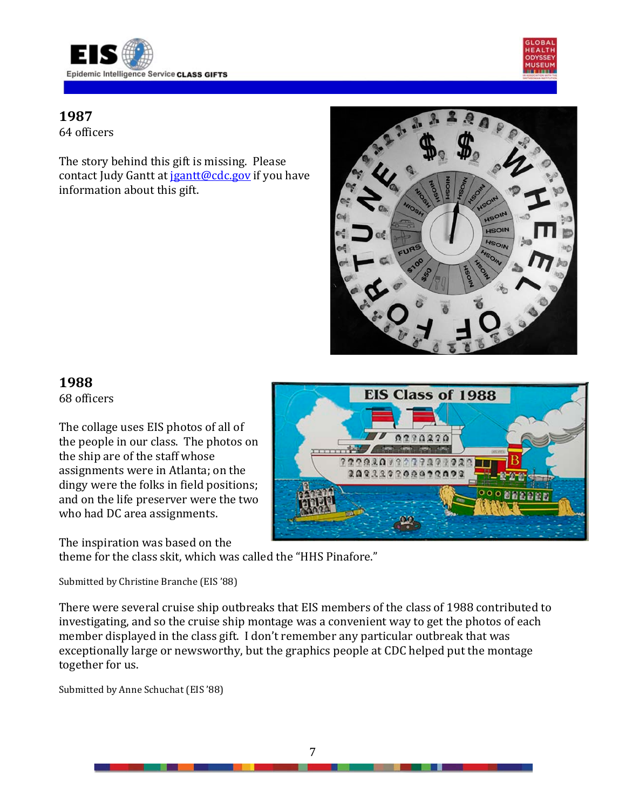



64 officers

The story behind this gift is missing. Please contact Judy Gantt a[t jgantt@cdc.gov](mailto:jgantt@cdc.gov) if you have information about this gift.



# **1988**

68 officers

The collage uses EIS photos of all of the people in our class. The photos on the ship are of the staff whose assignments were in Atlanta; on the dingy were the folks in field positions; and on the life preserver were the two who had DC area assignments.

The inspiration was based on the

theme for the class skit, which was called the "HHS Pinafore."

Submitted by Christine Branche (EIS '88)

There were several cruise ship outbreaks that EIS members of the class of 1988 contributed to investigating, and so the cruise ship montage was a convenient way to get the photos of each member displayed in the class gift. I don't remember any particular outbreak that was exceptionally large or newsworthy, but the graphics people at CDC helped put the montage together for us.

Submitted by Anne Schuchat (EIS '88)